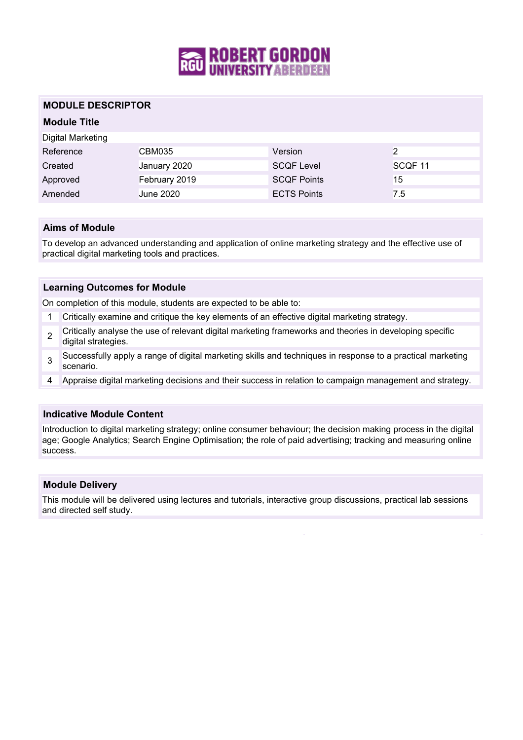

## **MODULE DESCRIPTOR**

## **Module Title**

| Digital Marketing |                  |                    |                    |
|-------------------|------------------|--------------------|--------------------|
| Reference         | CBM035           | Version            |                    |
|                   |                  |                    |                    |
| Created           | January 2020     | <b>SCQF Level</b>  | SCQF <sub>11</sub> |
| Approved          | February 2019    | <b>SCQF Points</b> | 15                 |
| Amended           | <b>June 2020</b> | <b>ECTS Points</b> | 7.5                |

## **Aims of Module**

To develop an advanced understanding and application of online marketing strategy and the effective use of practical digital marketing tools and practices.

## **Learning Outcomes for Module**

On completion of this module, students are expected to be able to:

- 1 Critically examine and critique the key elements of an effective digital marketing strategy.
- $\overline{2}$ Critically analyse the use of relevant digital marketing frameworks and theories in developing specific digital strategies.
- 3 Successfully apply a range of digital marketing skills and techniques in response to a practical marketing scenario.
- 4 Appraise digital marketing decisions and their success in relation to campaign management and strategy.

## **Indicative Module Content**

Introduction to digital marketing strategy; online consumer behaviour; the decision making process in the digital age; Google Analytics; Search Engine Optimisation; the role of paid advertising; tracking and measuring online success.

#### **Module Delivery**

This module will be delivered using lectures and tutorials, interactive group discussions, practical lab sessions and directed self study.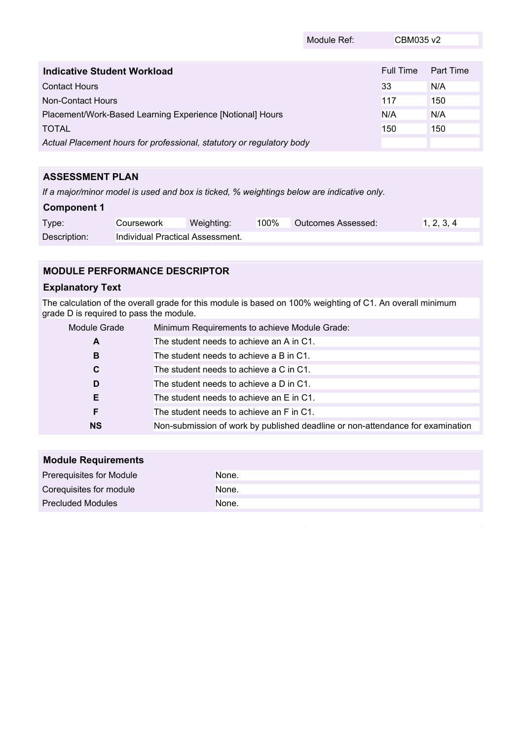|                                                                       | Module Ref: | CBM035 v2 |           |
|-----------------------------------------------------------------------|-------------|-----------|-----------|
|                                                                       |             |           |           |
| Indicative Student Workload                                           |             | Full Time | Part Time |
| <b>Contact Hours</b>                                                  |             | 33        | N/A       |
| Non-Contact Hours                                                     |             | 117       | 150       |
| Placement/Work-Based Learning Experience [Notional] Hours             |             | N/A       | N/A       |
| <b>TOTAL</b>                                                          |             | 150       | 150       |
| Actual Placement hours for professional, statutory or regulatory body |             |           |           |

# **ASSESSMENT PLAN**

*If a major/minor model is used and box is ticked, % weightings below are indicative only.*

## **Component 1**

| Type:        | <b>Coursework</b>                | Weighting: | 100% | Outcomes Assessed: | 1, 2, 3, 4 |
|--------------|----------------------------------|------------|------|--------------------|------------|
| Description: | Individual Practical Assessment. |            |      |                    |            |

# **MODULE PERFORMANCE DESCRIPTOR**

# **Explanatory Text**

The calculation of the overall grade for this module is based on 100% weighting of C1. An overall minimum grade D is required to pass the module.

| Module Grade | Minimum Requirements to achieve Module Grade:                                  |
|--------------|--------------------------------------------------------------------------------|
| A            | The student needs to achieve an A in C1.                                       |
| B            | The student needs to achieve a B in C1.                                        |
| C            | The student needs to achieve a C in C1.                                        |
| D            | The student needs to achieve a D in C1.                                        |
| E.           | The student needs to achieve an E in C1.                                       |
| F            | The student needs to achieve an F in C1.                                       |
| <b>NS</b>    | Non-submission of work by published deadline or non-attendance for examination |

| <b>Module Requirements</b> |       |
|----------------------------|-------|
| Prerequisites for Module   | None. |
| Corequisites for module    | None. |
| <b>Precluded Modules</b>   | None. |